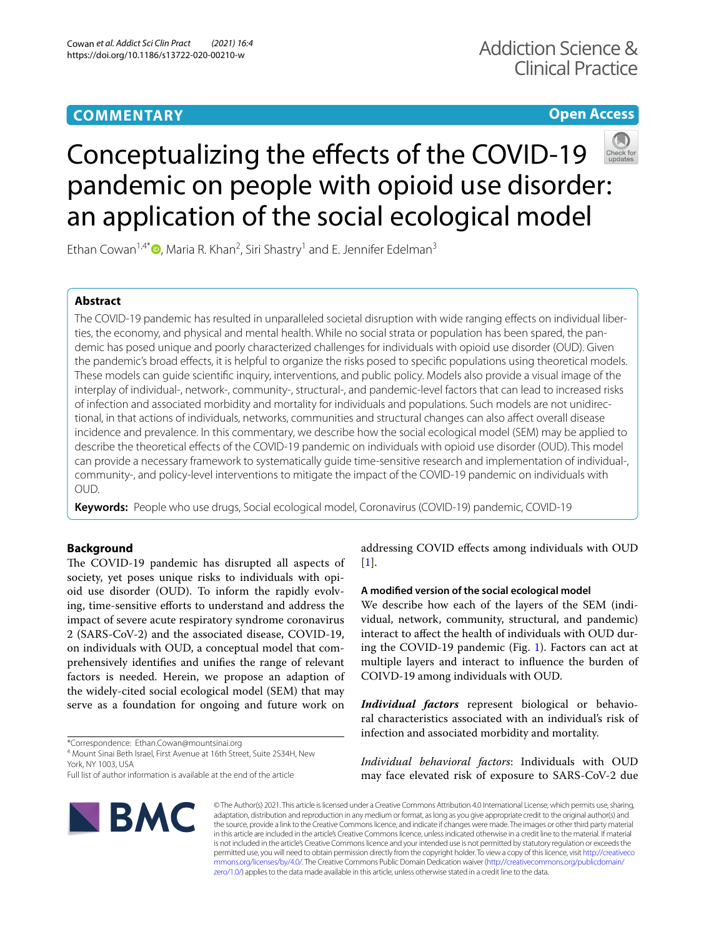# **COMMENTARY**

# **Open Access**



# Conceptualizing the effects of the COVID-19 pandemic on people with opioid use disorder: an application of the social ecological model

Ethan Cowan<sup>1,4[\\*](http://orcid.org/0000-0002-7276-0549)</sup><sup>O</sup>, Maria R. Khan<sup>2</sup>, Siri Shastry<sup>1</sup> and E. Jennifer Edelman<sup>3</sup>

# **Abstract**

The COVID-19 pandemic has resulted in unparalleled societal disruption with wide ranging efects on individual liberties, the economy, and physical and mental health. While no social strata or population has been spared, the pandemic has posed unique and poorly characterized challenges for individuals with opioid use disorder (OUD). Given the pandemic's broad efects, it is helpful to organize the risks posed to specifc populations using theoretical models. These models can guide scientifc inquiry, interventions, and public policy. Models also provide a visual image of the interplay of individual-, network-, community-, structural-, and pandemic-level factors that can lead to increased risks of infection and associated morbidity and mortality for individuals and populations. Such models are not unidirectional, in that actions of individuals, networks, communities and structural changes can also afect overall disease incidence and prevalence. In this commentary, we describe how the social ecological model (SEM) may be applied to describe the theoretical efects of the COVID-19 pandemic on individuals with opioid use disorder (OUD). This model can provide a necessary framework to systematically guide time-sensitive research and implementation of individual-, community-, and policy-level interventions to mitigate the impact of the COVID-19 pandemic on individuals with OUD.

**Keywords:** People who use drugs, Social ecological model, Coronavirus (COVID-19) pandemic, COVID-19

# **Background**

The COVID-19 pandemic has disrupted all aspects of society, yet poses unique risks to individuals with opioid use disorder (OUD). To inform the rapidly evolving, time-sensitive efforts to understand and address the impact of severe acute respiratory syndrome coronavirus 2 (SARS-CoV-2) and the associated disease, COVID-19, on individuals with OUD, a conceptual model that comprehensively identifes and unifes the range of relevant factors is needed. Herein, we propose an adaption of the widely-cited social ecological model (SEM) that may serve as a foundation for ongoing and future work on

\*Correspondence: Ethan.Cowan@mountsinai.org

4 Mount Sinai Beth Israel, First Avenue at 16th Street, Suite 2S34H, New York, NY 1003, USA

Full list of author information is available at the end of the article



addressing COVID efects among individuals with OUD  $[1]$  $[1]$ .

## **A modifed version of the social ecological model**

We describe how each of the layers of the SEM (individual, network, community, structural, and pandemic) interact to afect the health of individuals with OUD during the COVID-19 pandemic (Fig. [1\)](#page-1-0). Factors can act at multiple layers and interact to infuence the burden of COIVD-19 among individuals with OUD.

*Individual factors* represent biological or behavioral characteristics associated with an individual's risk of infection and associated morbidity and mortality.

*Individual behavioral factors*: Individuals with OUD may face elevated risk of exposure to SARS-CoV-2 due

© The Author(s) 2021. This article is licensed under a Creative Commons Attribution 4.0 International License, which permits use, sharing, adaptation, distribution and reproduction in any medium or format, as long as you give appropriate credit to the original author(s) and the source, provide a link to the Creative Commons licence, and indicate if changes were made. The images or other third party material in this article are included in the article's Creative Commons licence, unless indicated otherwise in a credit line to the material. If material is not included in the article's Creative Commons licence and your intended use is not permitted by statutory regulation or exceeds the permitted use, you will need to obtain permission directly from the copyright holder. To view a copy of this licence, visit [http://creativeco](http://creativecommons.org/licenses/by/4.0/) [mmons.org/licenses/by/4.0/.](http://creativecommons.org/licenses/by/4.0/) The Creative Commons Public Domain Dedication waiver ([http://creativecommons.org/publicdomain/](http://creativecommons.org/publicdomain/zero/1.0/) [zero/1.0/\)](http://creativecommons.org/publicdomain/zero/1.0/) applies to the data made available in this article, unless otherwise stated in a credit line to the data.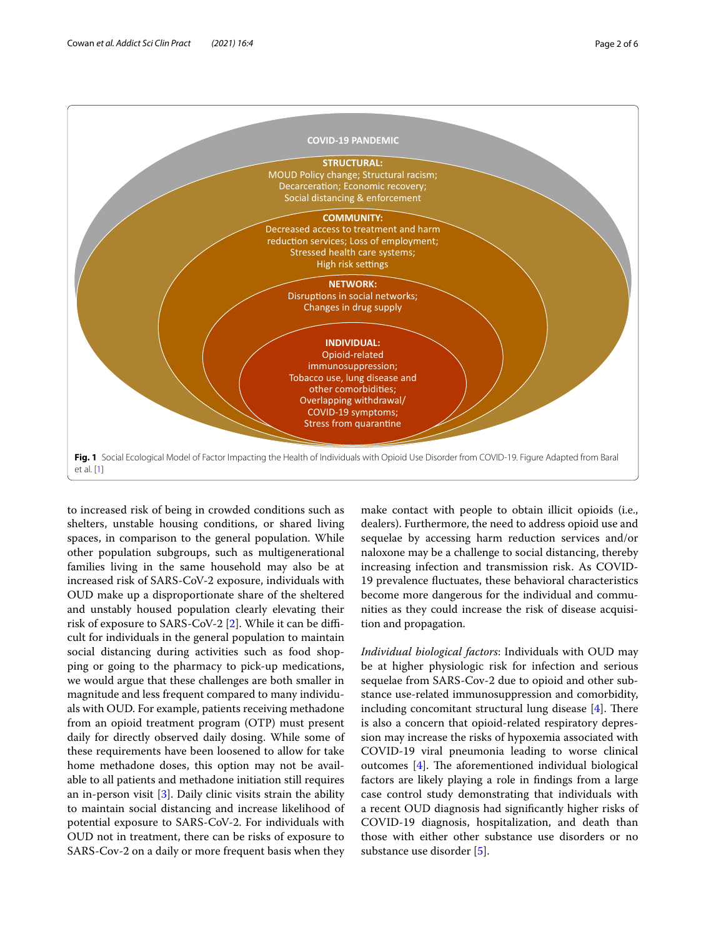

<span id="page-1-0"></span>to increased risk of being in crowded conditions such as shelters, unstable housing conditions, or shared living spaces, in comparison to the general population. While other population subgroups, such as multigenerational families living in the same household may also be at increased risk of SARS-CoV-2 exposure, individuals with OUD make up a disproportionate share of the sheltered and unstably housed population clearly elevating their risk of exposure to SARS-CoV-2 [[2\]](#page-4-1). While it can be difficult for individuals in the general population to maintain social distancing during activities such as food shopping or going to the pharmacy to pick-up medications, we would argue that these challenges are both smaller in magnitude and less frequent compared to many individuals with OUD. For example, patients receiving methadone from an opioid treatment program (OTP) must present daily for directly observed daily dosing. While some of these requirements have been loosened to allow for take home methadone doses, this option may not be available to all patients and methadone initiation still requires an in-person visit [[3\]](#page-4-2). Daily clinic visits strain the ability to maintain social distancing and increase likelihood of potential exposure to SARS-CoV-2. For individuals with OUD not in treatment, there can be risks of exposure to SARS-Cov-2 on a daily or more frequent basis when they make contact with people to obtain illicit opioids (i.e., dealers). Furthermore, the need to address opioid use and sequelae by accessing harm reduction services and/or naloxone may be a challenge to social distancing, thereby increasing infection and transmission risk. As COVID-19 prevalence fuctuates, these behavioral characteristics become more dangerous for the individual and communities as they could increase the risk of disease acquisition and propagation.

*Individual biological factors*: Individuals with OUD may be at higher physiologic risk for infection and serious sequelae from SARS-Cov-2 due to opioid and other substance use-related immunosuppression and comorbidity, including concomitant structural lung disease  $[4]$  $[4]$ . There is also a concern that opioid-related respiratory depression may increase the risks of hypoxemia associated with COVID-19 viral pneumonia leading to worse clinical outcomes  $[4]$  $[4]$  $[4]$ . The aforementioned individual biological factors are likely playing a role in fndings from a large case control study demonstrating that individuals with a recent OUD diagnosis had signifcantly higher risks of COVID-19 diagnosis, hospitalization, and death than those with either other substance use disorders or no substance use disorder [[5\]](#page-4-4).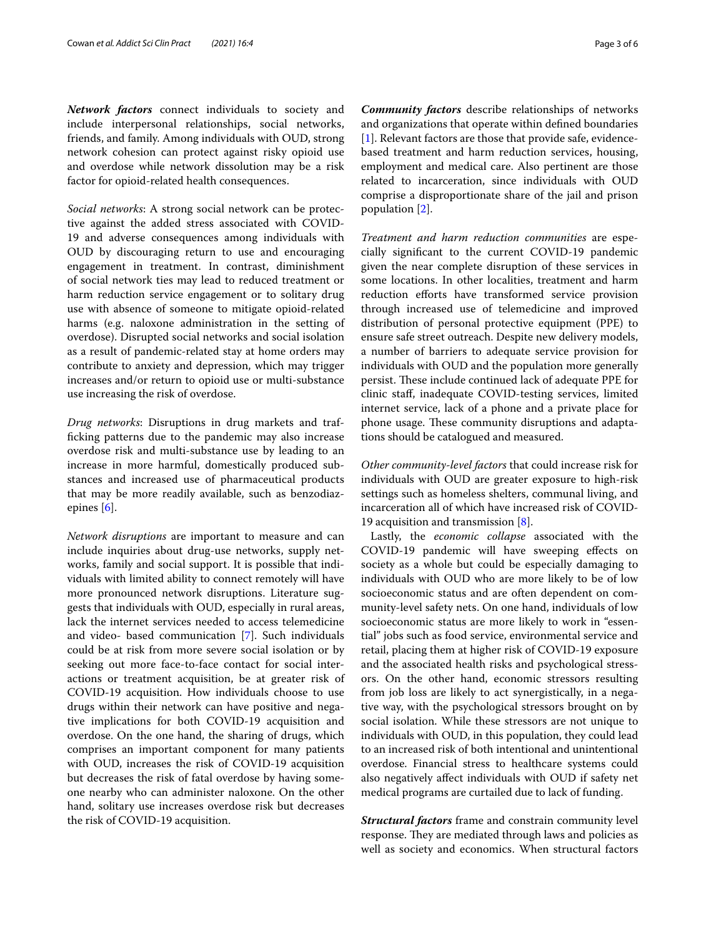*Network factors* connect individuals to society and include interpersonal relationships, social networks, friends, and family. Among individuals with OUD, strong network cohesion can protect against risky opioid use and overdose while network dissolution may be a risk factor for opioid-related health consequences.

*Social networks*: A strong social network can be protective against the added stress associated with COVID-19 and adverse consequences among individuals with OUD by discouraging return to use and encouraging engagement in treatment. In contrast, diminishment of social network ties may lead to reduced treatment or harm reduction service engagement or to solitary drug use with absence of someone to mitigate opioid-related harms (e.g. naloxone administration in the setting of overdose). Disrupted social networks and social isolation as a result of pandemic-related stay at home orders may contribute to anxiety and depression, which may trigger increases and/or return to opioid use or multi-substance use increasing the risk of overdose.

*Drug networks*: Disruptions in drug markets and traffcking patterns due to the pandemic may also increase overdose risk and multi-substance use by leading to an increase in more harmful, domestically produced substances and increased use of pharmaceutical products that may be more readily available, such as benzodiazepines [\[6](#page-4-5)].

*Network disruptions* are important to measure and can include inquiries about drug-use networks, supply networks, family and social support. It is possible that individuals with limited ability to connect remotely will have more pronounced network disruptions. Literature suggests that individuals with OUD, especially in rural areas, lack the internet services needed to access telemedicine and video- based communication [[7\]](#page-4-6). Such individuals could be at risk from more severe social isolation or by seeking out more face-to-face contact for social interactions or treatment acquisition, be at greater risk of COVID-19 acquisition. How individuals choose to use drugs within their network can have positive and negative implications for both COVID-19 acquisition and overdose. On the one hand, the sharing of drugs, which comprises an important component for many patients with OUD, increases the risk of COVID-19 acquisition but decreases the risk of fatal overdose by having someone nearby who can administer naloxone. On the other hand, solitary use increases overdose risk but decreases the risk of COVID-19 acquisition.

*Community factors* describe relationships of networks and organizations that operate within defned boundaries [[1\]](#page-4-0). Relevant factors are those that provide safe, evidencebased treatment and harm reduction services, housing, employment and medical care. Also pertinent are those related to incarceration, since individuals with OUD comprise a disproportionate share of the jail and prison population [[2\]](#page-4-1).

*Treatment and harm reduction communities* are especially signifcant to the current COVID-19 pandemic given the near complete disruption of these services in some locations. In other localities, treatment and harm reduction efforts have transformed service provision through increased use of telemedicine and improved distribution of personal protective equipment (PPE) to ensure safe street outreach. Despite new delivery models, a number of barriers to adequate service provision for individuals with OUD and the population more generally persist. These include continued lack of adequate PPE for clinic staf, inadequate COVID-testing services, limited internet service, lack of a phone and a private place for phone usage. These community disruptions and adaptations should be catalogued and measured.

*Other community-level factors* that could increase risk for individuals with OUD are greater exposure to high-risk settings such as homeless shelters, communal living, and incarceration all of which have increased risk of COVID-19 acquisition and transmission  $[8]$  $[8]$  $[8]$ .

Lastly, the *economic collapse* associated with the COVID-19 pandemic will have sweeping efects on society as a whole but could be especially damaging to individuals with OUD who are more likely to be of low socioeconomic status and are often dependent on community-level safety nets. On one hand, individuals of low socioeconomic status are more likely to work in "essential" jobs such as food service, environmental service and retail, placing them at higher risk of COVID-19 exposure and the associated health risks and psychological stressors. On the other hand, economic stressors resulting from job loss are likely to act synergistically, in a negative way, with the psychological stressors brought on by social isolation. While these stressors are not unique to individuals with OUD, in this population, they could lead to an increased risk of both intentional and unintentional overdose. Financial stress to healthcare systems could also negatively afect individuals with OUD if safety net medical programs are curtailed due to lack of funding.

*Structural factors* frame and constrain community level response. They are mediated through laws and policies as well as society and economics. When structural factors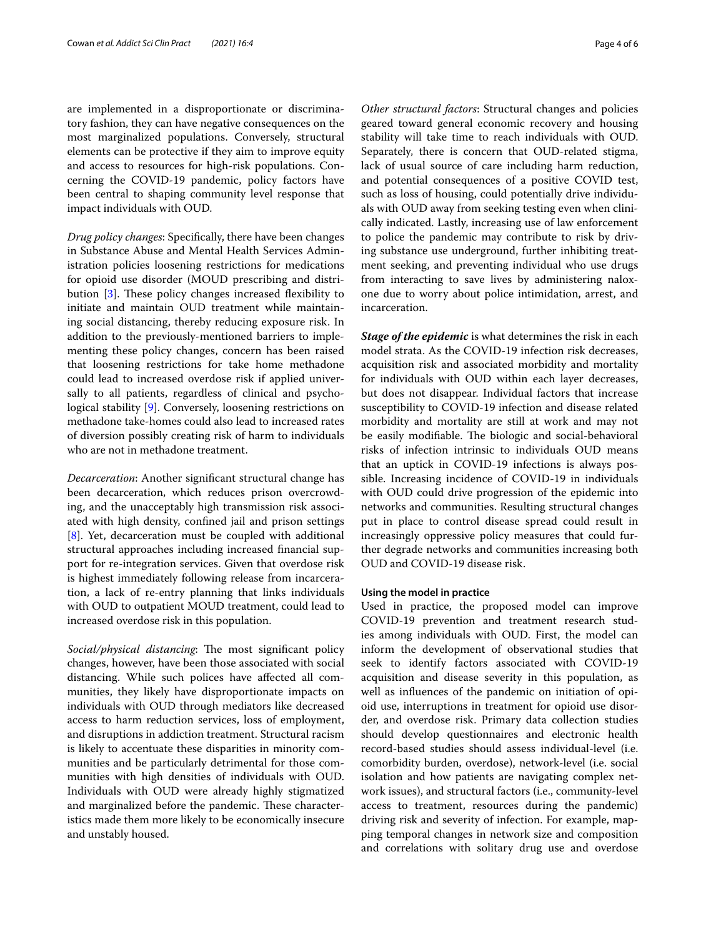are implemented in a disproportionate or discriminatory fashion, they can have negative consequences on the most marginalized populations. Conversely, structural elements can be protective if they aim to improve equity and access to resources for high-risk populations. Concerning the COVID-19 pandemic, policy factors have been central to shaping community level response that impact individuals with OUD.

*Drug policy changes*: Specifcally, there have been changes in Substance Abuse and Mental Health Services Administration policies loosening restrictions for medications for opioid use disorder (MOUD prescribing and distri-bution [[3\]](#page-4-2). These policy changes increased flexibility to initiate and maintain OUD treatment while maintaining social distancing, thereby reducing exposure risk. In addition to the previously-mentioned barriers to implementing these policy changes, concern has been raised that loosening restrictions for take home methadone could lead to increased overdose risk if applied universally to all patients, regardless of clinical and psychological stability [[9\]](#page-5-1). Conversely, loosening restrictions on methadone take-homes could also lead to increased rates of diversion possibly creating risk of harm to individuals who are not in methadone treatment.

*Decarceration*: Another signifcant structural change has been decarceration, which reduces prison overcrowding, and the unacceptably high transmission risk associated with high density, confned jail and prison settings [[8\]](#page-5-0). Yet, decarceration must be coupled with additional structural approaches including increased fnancial support for re-integration services. Given that overdose risk is highest immediately following release from incarceration, a lack of re-entry planning that links individuals with OUD to outpatient MOUD treatment, could lead to increased overdose risk in this population.

*Social/physical distancing*: The most significant policy changes, however, have been those associated with social distancing. While such polices have afected all communities, they likely have disproportionate impacts on individuals with OUD through mediators like decreased access to harm reduction services, loss of employment, and disruptions in addiction treatment. Structural racism is likely to accentuate these disparities in minority communities and be particularly detrimental for those communities with high densities of individuals with OUD. Individuals with OUD were already highly stigmatized and marginalized before the pandemic. These characteristics made them more likely to be economically insecure and unstably housed.

*Other structural factors*: Structural changes and policies geared toward general economic recovery and housing stability will take time to reach individuals with OUD. Separately, there is concern that OUD-related stigma, lack of usual source of care including harm reduction, and potential consequences of a positive COVID test, such as loss of housing, could potentially drive individuals with OUD away from seeking testing even when clinically indicated. Lastly, increasing use of law enforcement to police the pandemic may contribute to risk by driving substance use underground, further inhibiting treatment seeking, and preventing individual who use drugs from interacting to save lives by administering naloxone due to worry about police intimidation, arrest, and incarceration.

*Stage of the epidemic* is what determines the risk in each model strata. As the COVID-19 infection risk decreases, acquisition risk and associated morbidity and mortality for individuals with OUD within each layer decreases, but does not disappear. Individual factors that increase susceptibility to COVID-19 infection and disease related morbidity and mortality are still at work and may not be easily modifiable. The biologic and social-behavioral risks of infection intrinsic to individuals OUD means that an uptick in COVID-19 infections is always possible. Increasing incidence of COVID-19 in individuals with OUD could drive progression of the epidemic into networks and communities. Resulting structural changes put in place to control disease spread could result in increasingly oppressive policy measures that could further degrade networks and communities increasing both OUD and COVID-19 disease risk.

### **Using the model in practice**

Used in practice, the proposed model can improve COVID-19 prevention and treatment research studies among individuals with OUD. First, the model can inform the development of observational studies that seek to identify factors associated with COVID-19 acquisition and disease severity in this population, as well as infuences of the pandemic on initiation of opioid use, interruptions in treatment for opioid use disorder, and overdose risk. Primary data collection studies should develop questionnaires and electronic health record-based studies should assess individual-level (i.e. comorbidity burden, overdose), network-level (i.e. social isolation and how patients are navigating complex network issues), and structural factors (i.e., community-level access to treatment, resources during the pandemic) driving risk and severity of infection. For example, mapping temporal changes in network size and composition and correlations with solitary drug use and overdose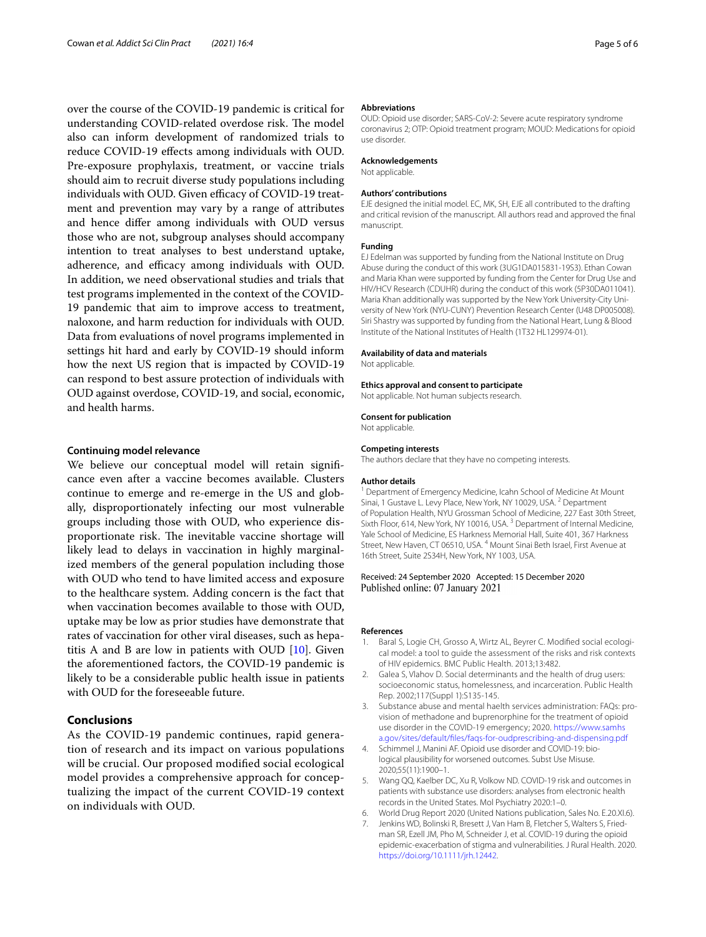over the course of the COVID-19 pandemic is critical for understanding COVID-related overdose risk. The model also can inform development of randomized trials to reduce COVID-19 efects among individuals with OUD. Pre-exposure prophylaxis, treatment, or vaccine trials should aim to recruit diverse study populations including individuals with OUD. Given efficacy of COVID-19 treatment and prevention may vary by a range of attributes and hence difer among individuals with OUD versus those who are not, subgroup analyses should accompany intention to treat analyses to best understand uptake, adherence, and efficacy among individuals with OUD. In addition, we need observational studies and trials that test programs implemented in the context of the COVID-19 pandemic that aim to improve access to treatment, naloxone, and harm reduction for individuals with OUD. Data from evaluations of novel programs implemented in settings hit hard and early by COVID-19 should inform how the next US region that is impacted by COVID-19 can respond to best assure protection of individuals with OUD against overdose, COVID-19, and social, economic, and health harms.

## **Continuing model relevance**

We believe our conceptual model will retain signifcance even after a vaccine becomes available. Clusters continue to emerge and re-emerge in the US and globally, disproportionately infecting our most vulnerable groups including those with OUD, who experience disproportionate risk. The inevitable vaccine shortage will likely lead to delays in vaccination in highly marginalized members of the general population including those with OUD who tend to have limited access and exposure to the healthcare system. Adding concern is the fact that when vaccination becomes available to those with OUD, uptake may be low as prior studies have demonstrate that rates of vaccination for other viral diseases, such as hepatitis A and B are low in patients with OUD [\[10](#page-5-2)]. Given the aforementioned factors, the COVID-19 pandemic is likely to be a considerable public health issue in patients with OUD for the foreseeable future.

## **Conclusions**

As the COVID-19 pandemic continues, rapid generation of research and its impact on various populations will be crucial. Our proposed modifed social ecological model provides a comprehensive approach for conceptualizing the impact of the current COVID-19 context on individuals with OUD.

#### **Abbreviations**

OUD: Opioid use disorder; SARS-CoV-2: Severe acute respiratory syndrome coronavirus 2; OTP: Opioid treatment program; MOUD: Medications for opioid use disorder.

#### **Acknowledgements**

Not applicable.

#### **Authors' contributions**

EJE designed the initial model. EC, MK, SH, EJE all contributed to the drafting and critical revision of the manuscript. All authors read and approved the fnal manuscript.

#### **Funding**

EJ Edelman was supported by funding from the National Institute on Drug Abuse during the conduct of this work (3UG1DA015831-19S3). Ethan Cowan and Maria Khan were supported by funding from the Center for Drug Use and HIV/HCV Research (CDUHR) during the conduct of this work (5P30DA011041). Maria Khan additionally was supported by the New York University-City University of New York (NYU-CUNY) Prevention Research Center (U48 DP005008). Siri Shastry was supported by funding from the National Heart, Lung & Blood Institute of the National Institutes of Health (1T32 HL129974-01).

#### **Availability of data and materials**

Not applicable.

#### **Ethics approval and consent to participate**

Not applicable. Not human subjects research.

#### **Consent for publication**

Not applicable.

#### **Competing interests**

The authors declare that they have no competing interests.

#### **Author details**

<sup>1</sup> Department of Emergency Medicine, Icahn School of Medicine At Mount Sinai, 1 Gustave L. Levy Place, New York, NY 10029, USA.<sup>2</sup> Department of Population Health, NYU Grossman School of Medicine, 227 East 30th Street, Sixth Floor, 614, New York, NY 10016, USA.<sup>3</sup> Department of Internal Medicine, Yale School of Medicine, ES Harkness Memorial Hall, Suite 401, 367 Harkness Street, New Haven, CT 06510, USA. <sup>4</sup> Mount Sinai Beth Israel, First Avenue at 16th Street, Suite 2S34H, New York, NY 1003, USA.

#### Received: 24 September 2020 Accepted: 15 December 2020 Published online: 07 January 2021

#### **References**

- <span id="page-4-0"></span>Baral S, Logie CH, Grosso A, Wirtz AL, Beyrer C. Modified social ecological model: a tool to guide the assessment of the risks and risk contexts of HIV epidemics. BMC Public Health. 2013;13:482.
- <span id="page-4-1"></span>2. Galea S, Vlahov D. Social determinants and the health of drug users: socioeconomic status, homelessness, and incarceration. Public Health Rep. 2002;117(Suppl 1):S135-145.
- <span id="page-4-2"></span>3. Substance abuse and mental haelth services administration: FAQs: provision of methadone and buprenorphine for the treatment of opioid use disorder in the COVID-19 emergency; 2020. [https://www.samhs](https://www.samhsa.gov/sites/default/files/faqs-for-oudprescribing-and-dispensing.pdf) [a.gov/sites/default/fles/faqs-for-oudprescribing-and-dispensing.pdf](https://www.samhsa.gov/sites/default/files/faqs-for-oudprescribing-and-dispensing.pdf)
- <span id="page-4-3"></span>4. Schimmel J, Manini AF. Opioid use disorder and COVID-19: biological plausibility for worsened outcomes. Subst Use Misuse. 2020;55(11):1900–1.
- <span id="page-4-4"></span>5. Wang QQ, Kaelber DC, Xu R, Volkow ND. COVID-19 risk and outcomes in patients with substance use disorders: analyses from electronic health records in the United States. Mol Psychiatry 2020:1–0.
- <span id="page-4-6"></span><span id="page-4-5"></span>6. World Drug Report 2020 (United Nations publication, Sales No. E.20.XI.6). 7. Jenkins WD, Bolinski R, Bresett J, Van Ham B, Fletcher S, Walters S, Friedman SR, Ezell JM, Pho M, Schneider J, et al. COVID-19 during the opioid epidemic-exacerbation of stigma and vulnerabilities. J Rural Health. 2020. <https://doi.org/10.1111/jrh.12442>.